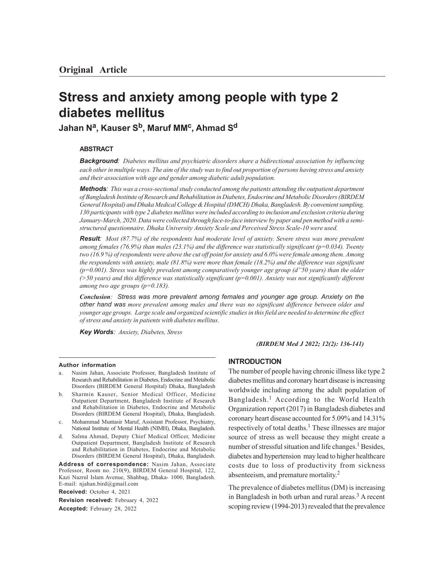# **Stress and anxiety among people with type 2 diabetes mellitus**

**Jahan N<sup>a</sup> , Kauser Sb, Maruf MM<sup>c</sup> , Ahmad S<sup>d</sup>**

## **ABSTRACT**

*Background: Diabetes mellitus and psychiatric disorders share a bidirectional association by influencing each other in multiple ways. The aim of the study was to find out proportion of persons having stress and anxiety and their association with age and gender among diabetic adult population.*

*Methods: This was a cross-sectional study conducted among the patients attending the outpatient department of Bangladesh Institute of Research and Rehabilitation in Diabetes, Endocrine and Metabolic Disorders (BIRDEM General Hospital) and Dhaka Medical College & Hospital (DMCH) Dhaka, Bangladesh. By convenient sampling, 130 participants with type 2 diabetes mellitus were included according to inclusion and exclusion criteria during January-March, 2020. Data were collected through face-to-face interview by paper and pen method with a semistructured questionnaire. Dhaka University Anxiety Scale and Perceived Stress Scale-10 were used.*

*Result: Most (87.7%) of the respondents had moderate level of anxiety. Severe stress was more prevalent among females (76.9%) than males (23.1%) and the difference was statistically significant (p=0.034). Twenty two (16.9 %) of respondents were above the cut off point for anxiety and 6.0% were female among them. Among the respondents with anxiety, male (81.8%) were more than female (18.2%) and the difference was significant (p=0.001). Stress was highly prevalent among comparatively younger age group (d"50 years) than the older (>50 years) and this difference was statistically significant (p=0.001). Anxiety was not significantly different among two age groups (p=0.183).*

*Conclusion: Stress was more prevalent among females and younger age group. Anxiety on the other hand was more prevalent among males and there was no significant difference between older and younger age groups. Large scale and organized scientific studies in this field are needed to determine the effect of stress and anxiety in patients with diabetes mellitus.*

*Key Words: Anxiety, Diabetes, Stress*

*(BIRDEM Med J 2022; 12(2): 136-141)*

#### **Author information**

- Nasim Jahan, Associate Professor, Bangladesh Institute of Research and Rehabilitation in Diabetes, Endocrine and Metabolic Disorders (BIRDEM General Hospital) Dhaka, Bangladesh
- b. Sharmin Kauser, Senior Medical Officer, Medicine Outpatient Department, Bangladesh Institute of Research and Rehabilitation in Diabetes, Endocrine and Metabolic Disorders (BIRDEM General Hospital), Dhaka, Bangladesh.
- c. Mohammad Muntasir Maruf, Assistant Professor, Psychiatry, National Institute of Mental Health (NIMH), Dhaka, Bangladesh.
- d. Salma Ahmad, Deputy Chief Medical Officer, Medicine Outpatient Department, Bangladesh Institute of Research and Rehabilitation in Diabetes, Endocrine and Metabolic Disorders (BIRDEM General Hospital), Dhaka, Bangladesh.

**Address of correspondence:** Nasim Jahan, Associate Professor, Room no. 210(9), BIRDEM General Hospital, 122, Kazi Nazrul Islam Avenue, Shahbag, Dhaka- 1000, Bangladesh. E-mail: njahan.bird@gmail.com

**Received:** October 4, 2021

**Revision received:** February 4, 2022

**Accepted:** February 28, 2022

## **INTRODUCTION**

The number of people having chronic illness like type 2 diabetes mellitus and coronary heart disease is increasing worldwide including among the adult population of Bangladesh.1 According to the World Health Organization report (2017) in Bangladesh diabetes and coronary heart disease accounted for 5.09% and 14.31% respectively of total deaths.<sup>1</sup> These illnesses are major source of stress as well because they might create a number of stressful situation and life changes.<sup>1</sup> Besides, diabetes and hypertension may lead to higher healthcare costs due to loss of productivity from sickness absenteeism, and premature mortality.<sup>2</sup>

The prevalence of diabetes mellitus (DM) is increasing in Bangladesh in both urban and rural areas.<sup>3</sup> A recent scoping review (1994-2013) revealed that the prevalence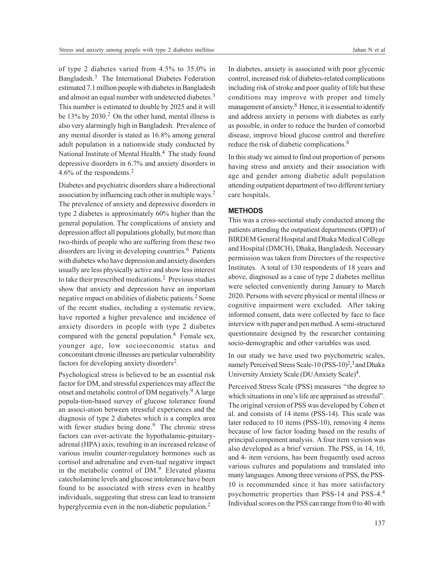of type 2 diabetes varied from 4.5% to 35.0% in Bangladesh.3 The International Diabetes Federation estimated 7.1 million people with diabetes in Bangladesh and almost an equal number with undetected diabetes.<sup>3</sup> This number is estimated to double by 2025 and it will be 13% by 2030.<sup>2</sup> On the other hand, mental illness is also very alarmingly high in Bangladesh. Prevalence of any mental disorder is stated as 16.8% among general adult population in a nationwide study conducted by National Institute of Mental Health.<sup>4</sup> The study found depressive disorders in 6.7% and anxiety disorders in 4.6% of the respondents.<sup>2</sup>

Diabetes and psychiatric disorders share a bidirectional association by influencing each other in multiple ways.<sup>2</sup> The prevalence of anxiety and depressive disorders in type 2 diabetes is approximately 60% higher than the general population. The complications of anxiety and depression affect all populations globally, but more than two-thirds of people who are suffering from these two disorders are living in developing countries.<sup>6</sup> Patients with diabetes who have depression and anxiety disorders usually are less physically active and show less interest to take their prescribed medications.<sup>2</sup> Previous studies show that anxiety and depression have an important negative impact on abilities of diabetic patients.<sup>2</sup> Some of the recent studies, including a systematic review, have reported a higher prevalence and incidence of anxiety disorders in people with type 2 diabetes compared with the general population.8 Female sex, younger age, low socioeconomic status and concomitant chronic illnesses are particular vulnerability factors for developing anxiety disorders<sup>2</sup>.

Psychological stress is believed to be an essential risk factor for DM, and stressful experiences may affect the onset and metabolic control of DM negatively. <sup>9</sup>A large popula-tion-based survey of glucose tolerance found an associ-ation between stressful experiences and the diagnosis of type 2 diabetes which is a complex area with fewer studies being done.<sup>9</sup> The chronic stress factors can over-activate the hypothalamic-pituitaryadrenal (HPA) axis, resulting in an increased release of various insulin counter-regulatory hormones such as cortisol and adrenaline and even-tual negative impact in the metabolic control of  $DM.^9$  Elevated plasma catecholamine levels and glucose intolerance have been found to be associated with stress even in healthy individuals, suggesting that stress can lead to transient hyperglycemia even in the non-diabetic population.<sup>2</sup>

In diabetes, anxiety is associated with poor glycemic control, increased risk of diabetes-related complications including risk of stroke and poor quality of life but these conditions may improve with proper and timely management of anxiety.<sup>8</sup> Hence, it is essential to identify and address anxiety in persons with diabetes as early as possible, in order to reduce the burden of comorbid disease, improve blood glucose control and therefore reduce the risk of diabetic complications.<sup>8</sup>

In this study we aimed to find out proportion of persons having stress and anxiety and their association with age and gender among diabetic adult population attending outpatient department of two different tertiary care hospitals.

# **METHODS**

This was a cross-sectional study conducted among the patients attending the outpatient departments (OPD) of BIRDEM General Hospital and Dhaka Medical College and Hospital (DMCH), Dhaka, Bangladesh. Necessary permission was taken from Directors of the respective Institutes. A total of 130 respondents of 18 years and above, diagnosed as a case of type 2 diabetes mellitus were selected conveniently during January to March 2020. Persons with severe physical or mental illness or cognitive impairment were excluded. After taking informed consent, data were collected by face to face interview with paper and pen method. A semi-structured questionnaire designed by the researcher containing socio-demographic and other variables was used.

In our study we have used two psychometric scales, namely Perceived Stress Scale-10 (PSS-10)<sup>2</sup>,<sup>3</sup> and Dhaka University Anxiety Scale (DU Anxiety Scale)<sup>4</sup>.

Perceived Stress Scale (PSS) measures ''the degree to which situations in one's life are appraised as stressful". The original version of PSS was developed by Cohen et al. and consists of 14 items (PSS-14). This scale was later reduced to 10 items (PSS-10), removing 4 items because of low factor loading based on the results of principal component analysis. A four item version was also developed as a brief version. The PSS, in 14, 10, and 4- item versions, has been frequently used across various cultures and populations and translated into many languages. Among three versions of PSS, the PSS-10 is recommended since it has more satisfactory psychometric properties than PSS-14 and PSS-4.<sup>4</sup> Individual scores on the PSS can range from 0 to 40 with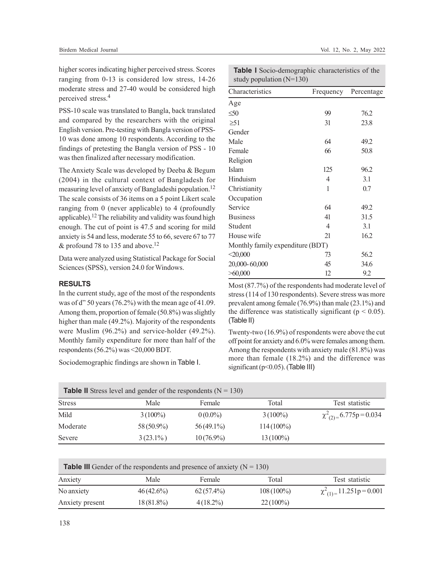higher scores indicating higher perceived stress. Scores ranging from 0-13 is considered low stress, 14-26 moderate stress and 27-40 would be considered high perceived stress.<sup>4</sup>

PSS-10 scale was translated to Bangla, back translated and compared by the researchers with the original English version. Pre-testing with Bangla version of PSS-10 was done among 10 respondents. According to the findings of pretesting the Bangla  $v_1$ was then finalized after necessary m

The Anxiety Scale was developed b  $(2004)$  in the cultural context of measuring level of anxiety of Bangla The scale consists of 36 items on a  $\ddot$ ranging from  $0$  (never applicable) applicable).<sup>12</sup> The reliability and valid enough. The cut of point is 47.5 and anxiety is 54 and less, moderate 55 to & profound 78 to 135 and above.<sup>12</sup>

Data were analyzed using Statistical Package for Social Sciences (SPSS), version 24.0 for Windows.

# **RESULTS**

In the current study, age of the most of the respondents was of d" 50 years (76.2%) with the mean age of 41.09. Among them, proportion of female (50.8%) was slightly higher than male (49.2%). Majority of the respondents were Muslim (96.2%) and service-holder (49.2%). Monthly family expenditure for more than half of the respondents (56.2%) was <20,000 BDT.

Sociodemographic findings are shown in Table I.

| ersion of PSS - 10              | Female          |
|---------------------------------|-----------------|
| odification.                    | Religion        |
| y Deeba & Begum                 | <b>Islam</b>    |
| f Bangladesh for                | Hinduism        |
| deshi population. <sup>12</sup> | Christianity    |
| 5 point Likert scale            | Occupation      |
| to 4 (profoundly                | Service         |
| dity was found high             | <b>Business</b> |
| d scoring for mild              | Student         |
| 66, severe 67 to 77             | House wife      |
|                                 | .               |

**Table I** Socio-demographic characteristics of the study population (N=130)

| Characteristics                  | Frequency      | Percentage |
|----------------------------------|----------------|------------|
| Age                              |                |            |
| $\leq 50$                        | 99             | 76.2       |
| $\geq 51$                        | 31             | 23.8       |
| Gender                           |                |            |
| Male                             | 64             | 49.2       |
| Female                           | 66             | 50.8       |
| Religion                         |                |            |
| Islam                            | 125            | 96.2       |
| Hinduism                         | 4              | 3.1        |
| Christianity                     | 1              | 0.7        |
| Occupation                       |                |            |
| Service                          | 64             | 49.2       |
| Business                         | 41             | 31.5       |
| Student                          | $\overline{4}$ | 3.1        |
| House wife                       | 21             | 16.2       |
| Monthly family expenditure (BDT) |                |            |
| < 20,000                         | 73             | 56.2       |
| 20,000-60,000                    | 45             | 34.6       |
| >60,000                          | 12             | 9.2        |

Most (87.7%) of the respondents had moderate level of stress (114 of 130 respondents). Severe stress was more prevalent among female (76.9%) than male (23.1%) and the difference was statistically significant ( $p < 0.05$ ). (Table II)

Twenty-two (16.9%) of respondents were above the cut off point for anxiety and 6.0% were females among them. Among the respondents with anxiety male (81.8%) was more than female (18.2%) and the difference was significant (p<0.05). (Table III)

|               | <b>Table II</b> Stress level and gender of the respondents ( $N = 130$ ) |              |              |                              |
|---------------|--------------------------------------------------------------------------|--------------|--------------|------------------------------|
| <b>Stress</b> | Male                                                                     | Female       | Total        | Test statistic               |
| Mild          | $3(100\%)$                                                               | $0(0.0\%)$   | $3(100\%)$   | $\chi^2_{(2)=}$ 6.775p=0.034 |
| Moderate      | 58 (50.9%)                                                               | $56(49.1\%)$ | $114(100\%)$ |                              |
| Severe        | $3(23.1\%)$                                                              | $10(76.9\%)$ | $13(100\%)$  |                              |

| <b>Table III</b> Gender of the respondents and presence of anxiety $(N = 130)$ |              |              |              |                                  |
|--------------------------------------------------------------------------------|--------------|--------------|--------------|----------------------------------|
| Anxiety                                                                        | Male         | Female       | Total        | Test statistic                   |
| No anxiety                                                                     | $46(42.6\%)$ | $62(57.4\%)$ | $108(100\%)$ | $\chi^2_{(1)} = 11.251p = 0.001$ |
| Anxiety present                                                                | $18(81.8\%)$ | $4(18.2\%)$  | $22(100\%)$  |                                  |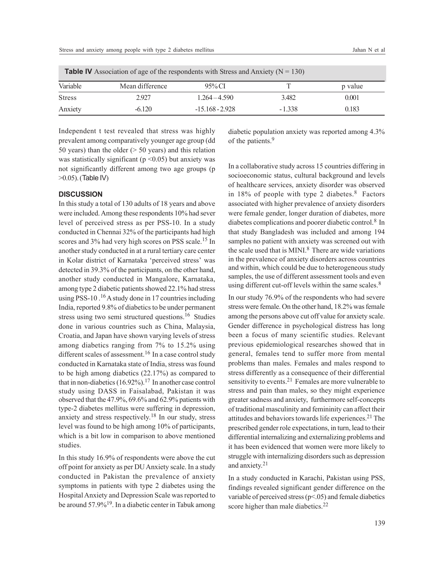| <b>Table IV</b> Association of age of the respondents with Stress and Anxiety ( $N = 130$ ) |                 |                   |          |         |
|---------------------------------------------------------------------------------------------|-----------------|-------------------|----------|---------|
| Variable                                                                                    | Mean difference | $95\%$ CI         |          | p value |
| <b>Stress</b>                                                                               | 2.927           | $1.264 - 4.590$   | 3.482    | 0.001   |
| Anxiety                                                                                     | $-6.120$        | $-15.168 - 2.928$ | $-1.338$ | 0.183   |

Independent t test revealed that stress was highly prevalent among comparatively younger age group (dd 50 years) than the older  $($  > 50 years) and this relation was statistically significant ( $p$  <0.05) but anxiety was not significantly different among two age groups (p >0.05). (Table IV)

## **DISCUSSION**

In this study a total of 130 adults of 18 years and above were included. Among these respondents 10% had sever level of perceived stress as per PSS-10. In a study conducted in Chennai 32% of the participants had high scores and 3% had very high scores on PSS scale.<sup>15</sup> In another study conducted in at a rural tertiary care center in Kolar district of Karnataka 'perceived stress' was detected in 39.3% of the participants, on the other hand, another study conducted in Mangalore, Karnataka, among type 2 diabetic patients showed 22.1% had stress using PSS-10.<sup>16</sup> A study done in 17 countries including India, reported 9.8% of diabetics to be under permanent stress using two semi structured questions.<sup>16</sup> Studies done in various countries such as China, Malaysia, Croatia, and Japan have shown varying levels of stress among diabetics ranging from 7% to 15.2% using different scales of assessment.<sup>16</sup> In a case control study conducted in Karnataka state of India, stress was found to be high among diabetics (22.17%) as compared to that in non-diabetics (16.92%).<sup>17</sup> In another case control study using DASS in Faisalabad, Pakistan it was observed that the 47.9%, 69.6% and 62.9% patients with type-2 diabetes mellitus were suffering in depression, anxiety and stress respectively.<sup>18</sup> In our study, stress level was found to be high among 10% of participants, which is a bit low in comparison to above mentioned studies.

In this study 16.9% of respondents were above the cut off point for anxiety as per DU Anxiety scale. In a study conducted in Pakistan the prevalence of anxiety symptoms in patients with type 2 diabetes using the Hospital Anxiety and Depression Scale was reported to be around 57.9%19. In a diabetic center in Tabuk among diabetic population anxiety was reported among 4.3% of the patients.<sup>9</sup>

In a collaborative study across 15 countries differing in socioeconomic status, cultural background and levels of healthcare services, anxiety disorder was observed in 18% of people with type 2 diabetes.8 Factors associated with higher prevalence of anxiety disorders were female gender, longer duration of diabetes, more diabetes complications and poorer diabetic control.8 In that study Bangladesh was included and among 194 samples no patient with anxiety was screened out with the scale used that is MINI. $8$  There are wide variations in the prevalence of anxiety disorders across countries and within, which could be due to heterogeneous study samples, the use of different assessment tools and even using different cut-off levels within the same scales. $8$ 

In our study 76.9% of the respondents who had severe stress were female. On the other hand, 18.2% was female among the persons above cut off value for anxiety scale. Gender difference in psychological distress has long been a focus of many scientific studies. Relevant previous epidemiological researches showed that in general, females tend to suffer more from mental problems than males. Females and males respond to stress differently as a consequence of their differential sensitivity to events.<sup>21</sup> Females are more vulnerable to stress and pain than males, so they might experience greater sadness and anxiety, furthermore self-concepts of traditional masculinity and femininity can affect their attitudes and behaviors towards life experiences.21 The prescribed gender role expectations, in turn, lead to their differential internalizing and externalizing problems and it has been evidenced that women were more likely to struggle with internalizing disorders such as depression and anxiety. 21

In a study conducted in Karachi, Pakistan using PSS, findings revealed significant gender difference on the variable of perceived stress (p<.05) and female diabetics score higher than male diabetics.<sup>22</sup>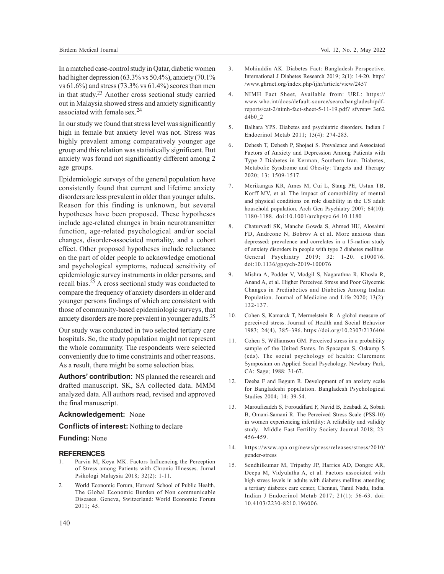In a matched case-control study in Qatar, diabetic women had higher depression (63.3% vs 50.4%), anxiety (70.1% vs 61.6%) and stress (73.3% vs 61.4%) scores than men in that study.<sup>23</sup> Another cross sectional study carried out in Malaysia showed stress and anxiety significantly associated with female sex.<sup>24</sup>

In our study we found that stress level was significantly high in female but anxiety level was not. Stress was highly prevalent among comparatively younger age group and this relation was statistically significant. But anxiety was found not significantly different among 2 age groups.

Epidemiologic surveys of the general population have consistently found that current and lifetime anxiety disorders are less prevalent in older than younger adults. Reason for this finding is unknown, but several hypotheses have been proposed. These hypotheses include age-related changes in brain neurotransmitter function, age-related psychological and/or social changes, disorder-associated mortality, and a cohort effect. Other proposed hypotheses include reluctance on the part of older people to acknowledge emotional and psychological symptoms, reduced sensitivity of epidemiologic survey instruments in older persons, and recall bias.<sup>25</sup> A cross sectional study was conducted to compare the frequency of anxiety disorders in older and younger persons findings of which are consistent with those of community-based epidemiologic surveys, that anxiety disorders are more prevalent in younger adults.<sup>25</sup>

Our study was conducted in two selected tertiary care hospitals. So, the study population might not represent the whole community. The respondents were selected conveniently due to time constraints and other reasons. As a result, there might be some selection bias.

**Authors' contribution:** NS planned the research and drafted manuscript. SK, SA collected data. MMM analyzed data. All authors read, revised and approved the final manuscript.

## **Acknowledgement:** None

**Conflicts of interest:** Nothing to declare

# **Funding:** None

### **REFERENCES**

- 1. Parvin M, Keya MK. Factors Influencing the Perception of Stress among Patients with Chronic Illnesses. Jurnal Psikologi Malaysia 2018; 32(2): 1-11.
- 2. World Economic Forum, Harvard School of Public Health. The Global Economic Burden of Non communicable Diseases. Geneva, Switzerland: World Economic Forum 2011; 45.
- 3. Mohiuddin AK. Diabetes Fact: Bangladesh Perspective. International J Diabetes Research 2019; 2(1): 14-20. http:/ /www.ghrnet.org/index.php/ijhr/article/view/2457
- 4. NIMH Fact Sheet, Available from: URL: https:// www.who.int/docs/default-source/searo/bangladesh/pdfreports/cat-2/nimh-fact-sheet-5-11-19.pdf? sfvrsn= 3e62 d4b0\_2
- 5. Balhara YPS. Diabetes and psychiatric disorders. Indian J Endocrinol Metab 2011; 15(4): 274-283.
- 6. Dehesh T, Dehesh P, Shojaei S. Prevalence and Associated Factors of Anxiety and Depression Among Patients with Type 2 Diabetes in Kerman, Southern Iran. Diabetes, Metabolic Syndrome and Obesity: Targets and Therapy 2020; 13: 1509-1517.
- 7. Merikangas KR, Ames M, Cui L, Stang PE, Ustun TB, Korff MV, et al. The impact of comorbidity of mental and physical conditions on role disability in the US adult household population. Arch Gen Psychiatry 2007; 64(10): 1180-1188. doi:10.1001/archpsyc.64.10.1180
- 8. Chaturvedi SK, Manche Gowda S, Ahmed HU, Alosaimi FD, Andreone N, Bobrov A et al. More anxious than depressed: prevalence and correlates in a 15-nation study of anxiety disorders in people with type 2 diabetes mellitus. General Psychiatry 2019; 32: 1-20. e100076. doi:10.1136/gpsych-2019-100076
- 9. Mishra A, Podder V, Modgil S, Nagarathna R, Khosla R, Anand A, et al. Higher Perceived Stress and Poor Glycemic Changes in Prediabetics and Diabetics Among Indian Population. Journal of Medicine and Life 2020; 13(2): 132-137.
- 10. Cohen S, Kamarck T, Mermelstein R. A global measure of perceived stress. Journal of Health and Social Behavior 1983; 24(4), 385–396. https://doi.org/10.2307/2136404
- 11. Cohen S, Williamson GM. Perceived stress in a probability sample of the United States. In Spacapan S, Oskamp S (eds). The social psychology of health: Claremont Symposium on Applied Social Psychology. Newbury Park, CA: Sage; 1988: 31-67.
- 12. Deeba F and Begum R. Development of an anxiety scale for Bangladeshi population. Bangladesh Psychological Studies 2004; 14: 39-54.
- 13. Maroufizadeh S, Foroudifard F, Navid B, Ezabadi Z, Sobati B, Omani-Samani R. The Perceived Stress Scale (PSS-10) in women experiencing infertility: A reliability and validity study. Middle East Fertility Society Journal 2018; 23: 456-459.
- 14. https://www.apa.org/news/press/releases/stress/2010/ gender-stress
- 15. Sendhilkumar M, Tripathy JP, Harries AD, Dongre AR, Deepa M, Vidyulatha A, et al. Factors associated with high stress levels in adults with diabetes mellitus attending a tertiary diabetes care center, Chennai, Tamil Nadu, India. Indian J Endocrinol Metab 2017; 21(1): 56-63. doi: 10.4103/2230-8210.196006.